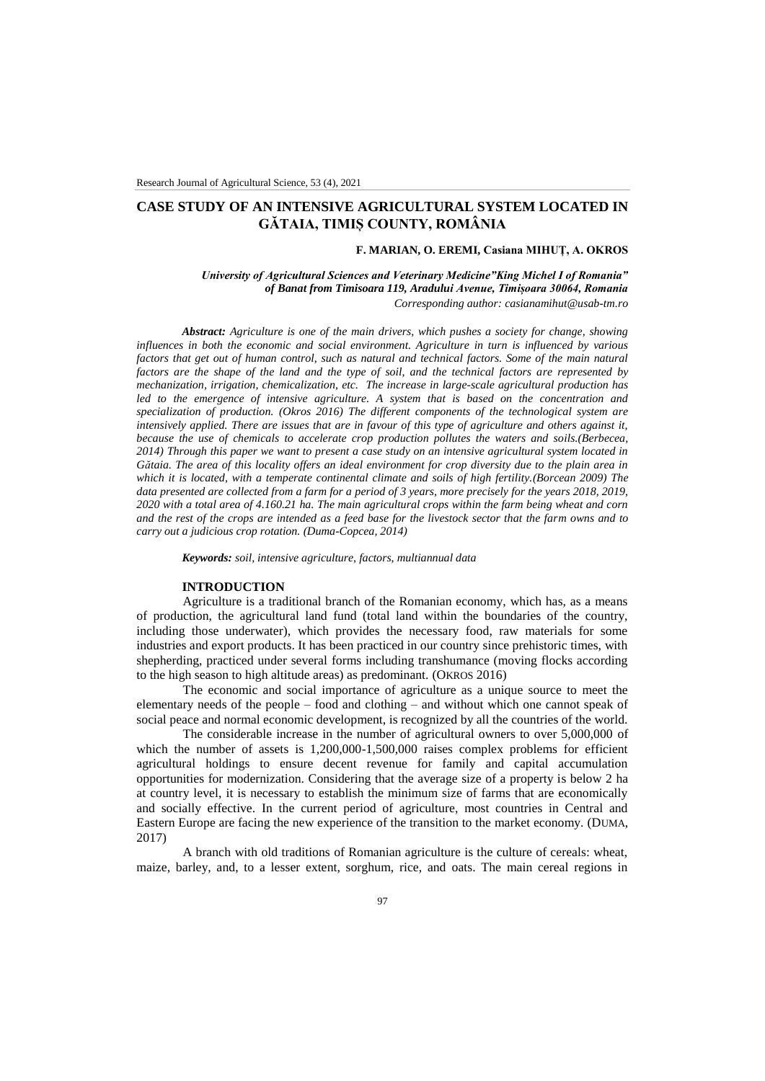# **CASE STUDY OF AN INTENSIVE AGRICULTURAL SYSTEM LOCATED IN GĂTAIA, TIMIȘ COUNTY, ROMÂNIA**

### **F. MARIAN, O. EREMI, Casiana MIHUȚ, A. OKROS**

*University of Agricultural Sciences and Veterinary Medicine"King Michel I of Romania" of Banat from Timisoara 119, Aradului Avenue, Timișoara 30064, Romania Corresponding author: [casianamihut@usab-tm.ro](mailto:casianamihut@usab-tm.ro)*

*Abstract: Agriculture is one of the main drivers, which pushes a society for change, showing influences in both the economic and social environment. Agriculture in turn is influenced by various*  factors that get out of human control, such as natural and technical factors. Some of the main natural *factors are the shape of the land and the type of soil, and the technical factors are represented by mechanization, irrigation, chemicalization, etc. The increase in large-scale agricultural production has led to the emergence of intensive agriculture. A system that is based on the concentration and specialization of production. (Okros 2016) The different components of the technological system are intensively applied. There are issues that are in favour of this type of agriculture and others against it, because the use of chemicals to accelerate crop production pollutes the waters and soils.(Berbecea, 2014) Through this paper we want to present a case study on an intensive agricultural system located in Gătaia. The area of this locality offers an ideal environment for crop diversity due to the plain area in which it is located, with a temperate continental climate and soils of high fertility.(Borcean 2009) The data presented are collected from a farm for a period of 3 years, more precisely for the years 2018, 2019, 2020 with a total area of 4.160.21 ha. The main agricultural crops within the farm being wheat and corn and the rest of the crops are intended as a feed base for the livestock sector that the farm owns and to carry out a judicious crop rotation. (Duma-Copcea, 2014)*

*Keywords: soil, intensive agriculture, factors, multiannual data*

#### **INTRODUCTION**

Agriculture is a traditional branch of the Romanian economy, which has, as a means of production, the agricultural land fund (total land within the boundaries of the country, including those underwater), which provides the necessary food, raw materials for some industries and export products. It has been practiced in our country since prehistoric times, with shepherding, practiced under several forms including transhumance (moving flocks according to the high season to high altitude areas) as predominant. (OKROS 2016)

The economic and social importance of agriculture as a unique source to meet the elementary needs of the people – food and clothing – and without which one cannot speak of social peace and normal economic development, is recognized by all the countries of the world.

The considerable increase in the number of agricultural owners to over 5,000,000 of which the number of assets is  $1,200,000-1,500,000$  raises complex problems for efficient agricultural holdings to ensure decent revenue for family and capital accumulation opportunities for modernization. Considering that the average size of a property is below 2 ha at country level, it is necessary to establish the minimum size of farms that are economically and socially effective. In the current period of agriculture, most countries in Central and Eastern Europe are facing the new experience of the transition to the market economy. (DUMA, 2017)

A branch with old traditions of Romanian agriculture is the culture of cereals: wheat, maize, barley, and, to a lesser extent, sorghum, rice, and oats. The main cereal regions in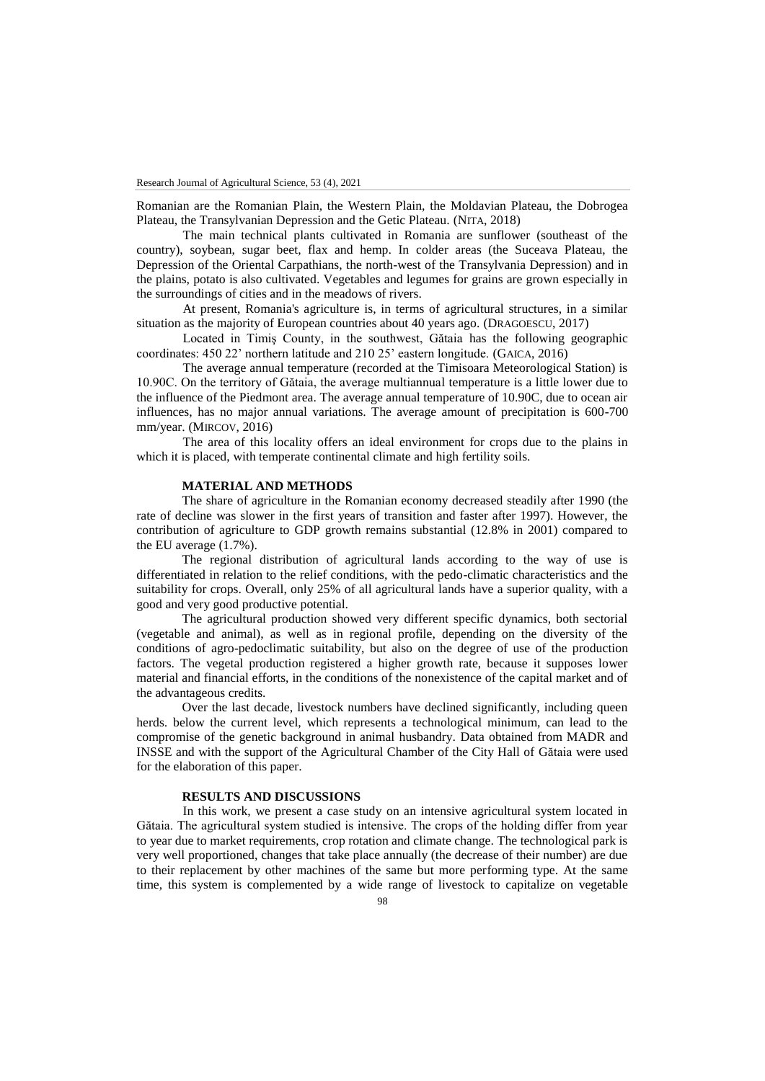Romanian are the Romanian Plain, the Western Plain, the Moldavian Plateau, the Dobrogea Plateau, the Transylvanian Depression and the Getic Plateau. (NITA, 2018)

The main technical plants cultivated in Romania are sunflower (southeast of the country), soybean, sugar beet, flax and hemp. In colder areas (the Suceava Plateau, the Depression of the Oriental Carpathians, the north-west of the Transylvania Depression) and in the plains, potato is also cultivated. Vegetables and legumes for grains are grown especially in the surroundings of cities and in the meadows of rivers.

At present, Romania's agriculture is, in terms of agricultural structures, in a similar situation as the majority of European countries about 40 years ago. (DRAGOESCU, 2017)

Located in Timiş County, in the southwest, Gătaia has the following geographic coordinates: 450 22' northern latitude and 210 25' eastern longitude. (GAICA, 2016)

The average annual temperature (recorded at the Timisoara Meteorological Station) is 10.90C. On the territory of Gătaia, the average multiannual temperature is a little lower due to the influence of the Piedmont area. The average annual temperature of 10.90C, due to ocean air influences, has no major annual variations. The average amount of precipitation is 600-700 mm/year. (MIRCOV, 2016)

The area of this locality offers an ideal environment for crops due to the plains in which it is placed, with temperate continental climate and high fertility soils.

### **MATERIAL AND METHODS**

The share of agriculture in the Romanian economy decreased steadily after 1990 (the rate of decline was slower in the first years of transition and faster after 1997). However, the contribution of agriculture to GDP growth remains substantial (12.8% in 2001) compared to the EU average (1.7%).

The regional distribution of agricultural lands according to the way of use is differentiated in relation to the relief conditions, with the pedo-climatic characteristics and the suitability for crops. Overall, only 25% of all agricultural lands have a superior quality, with a good and very good productive potential.

The agricultural production showed very different specific dynamics, both sectorial (vegetable and animal), as well as in regional profile, depending on the diversity of the conditions of agro-pedoclimatic suitability, but also on the degree of use of the production factors. The vegetal production registered a higher growth rate, because it supposes lower material and financial efforts, in the conditions of the nonexistence of the capital market and of the advantageous credits.

Over the last decade, livestock numbers have declined significantly, including queen herds. below the current level, which represents a technological minimum, can lead to the compromise of the genetic background in animal husbandry. Data obtained from MADR and INSSE and with the support of the Agricultural Chamber of the City Hall of Gătaia were used for the elaboration of this paper.

### **RESULTS AND DISCUSSIONS**

In this work, we present a case study on an intensive agricultural system located in Gătaia. The agricultural system studied is intensive. The crops of the holding differ from year to year due to market requirements, crop rotation and climate change. The technological park is very well proportioned, changes that take place annually (the decrease of their number) are due to their replacement by other machines of the same but more performing type. At the same time, this system is complemented by a wide range of livestock to capitalize on vegetable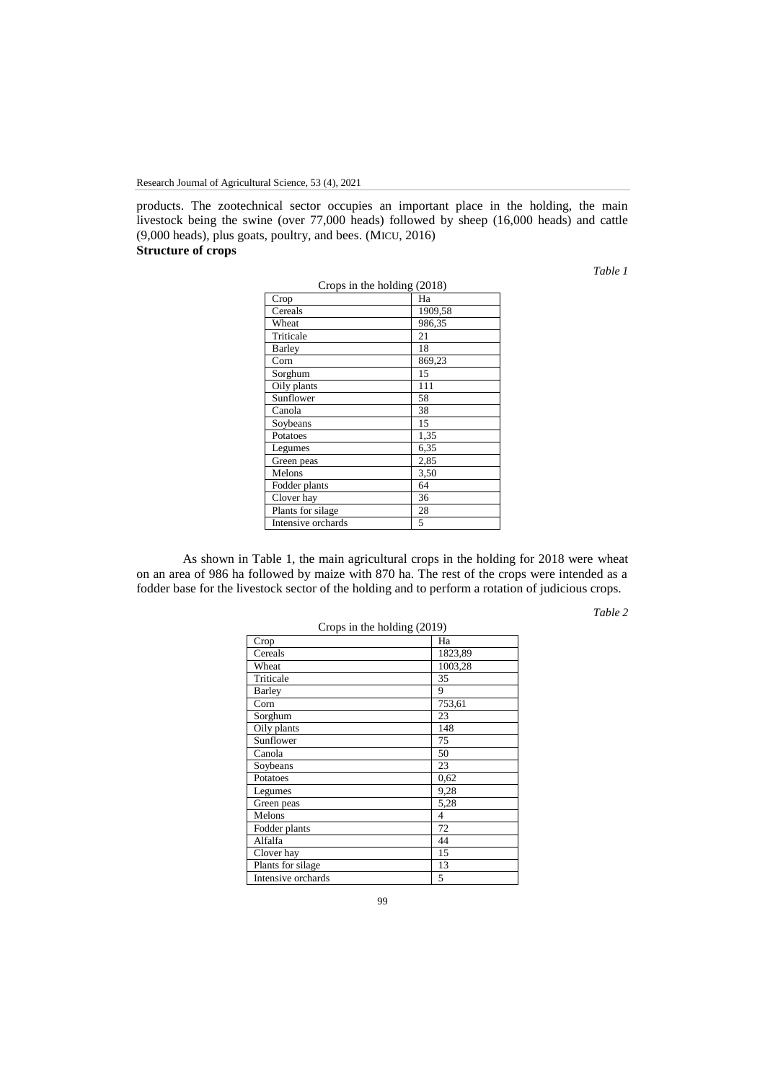products. The zootechnical sector occupies an important place in the holding, the main livestock being the swine (over 77,000 heads) followed by sheep (16,000 heads) and cattle (9,000 heads), plus goats, poultry, and bees. (MICU, 2016) **Structure of crops**

*Table 1*

| Crops in the holding (2018) |         |  |
|-----------------------------|---------|--|
| Crop                        | Ha      |  |
| Cereals                     | 1909,58 |  |
| Wheat                       | 986,35  |  |
| Triticale                   | 21      |  |
| Barley                      | 18      |  |
| Corn                        | 869,23  |  |
| Sorghum                     | 15      |  |
| Oily plants                 | 111     |  |
| Sunflower                   | 58      |  |
| Canola                      | 38      |  |
| Soybeans                    | 15      |  |
| Potatoes                    | 1,35    |  |
| Legumes                     | 6.35    |  |
| Green peas                  | 2,85    |  |
| Melons                      | 3,50    |  |
| Fodder plants               | 64      |  |
| Clover hay                  | 36      |  |
| Plants for silage           | 28      |  |
| Intensive orchards          | 5       |  |

As shown in Table 1, the main agricultural crops in the holding for 2018 were wheat on an area of 986 ha followed by maize with 870 ha. The rest of the crops were intended as a fodder base for the livestock sector of the holding and to perform a rotation of judicious crops.

*Table 2*

| Crops in the holding $(2019)$ |         |  |
|-------------------------------|---------|--|
| Crop                          | Ha      |  |
| Cereals                       | 1823,89 |  |
| Wheat                         | 1003,28 |  |
| Triticale                     | 35      |  |
| Barley                        | 9       |  |
| Corn                          | 753,61  |  |
| Sorghum                       | 23      |  |
| Oily plants                   | 148     |  |
| Sunflower                     | 75      |  |
| Canola                        | 50      |  |
| Soybeans                      | 23      |  |
| Potatoes                      | 0.62    |  |
| Legumes                       | 9,28    |  |
| Green peas                    | 5,28    |  |
| Melons                        | 4       |  |
| Fodder plants                 | 72      |  |
| Alfalfa                       | 44      |  |
| Clover hay                    | 15      |  |
| Plants for silage             | 13      |  |
| Intensive orchards            | 5       |  |

99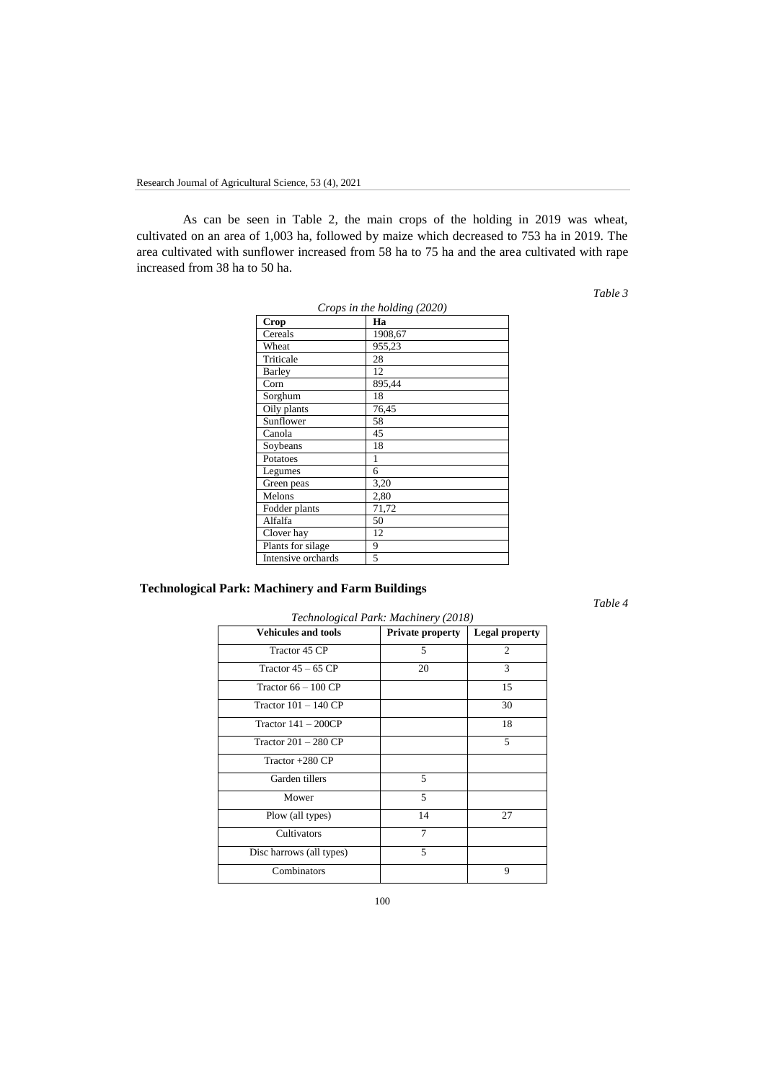As can be seen in Table 2, the main crops of the holding in 2019 was wheat, cultivated on an area of 1,003 ha, followed by maize which decreased to 753 ha in 2019. The area cultivated with sunflower increased from 58 ha to 75 ha and the area cultivated with rape increased from 38 ha to 50 ha.

*Table 3*

| Crops in the holding (2020) |         |  |
|-----------------------------|---------|--|
| Crop                        | Ha      |  |
| Cereals                     | 1908,67 |  |
| Wheat                       | 955,23  |  |
| Triticale                   | 28      |  |
| Barley                      | 12      |  |
| $_{\rm Corn}$               | 895,44  |  |
| Sorghum                     | 18      |  |
| Oily plants                 | 76,45   |  |
| Sunflower                   | 58      |  |
| Canola                      | 45      |  |
| Soybeans                    | 18      |  |
| Potatoes                    | 1       |  |
| Legumes                     | 6       |  |
| Green peas                  | 3,20    |  |
| Melons                      | 2,80    |  |
| Fodder plants               | 71,72   |  |
| Alfalfa                     | 50      |  |
| Clover hay                  | 12      |  |
| Plants for silage           | 9       |  |
| Intensive orchards          | 5       |  |

# **Technological Park: Machinery and Farm Buildings**

*Table 4*

| Technological Park: Machinery (2018) |                  |                       |  |
|--------------------------------------|------------------|-----------------------|--|
| <b>Vehicules and tools</b>           | Private property | <b>Legal property</b> |  |
| Tractor 45 CP                        | 5                | $\overline{c}$        |  |
| Tractor $45 - 65$ CP                 | 20               | 3                     |  |
| Tractor $66 - 100$ CP                |                  | 15                    |  |
| Tractor $101 - 140$ CP               |                  | 30                    |  |
| Tractor $141 - 200CP$                |                  | 18                    |  |
| Tractor $201 - 280$ CP               |                  | 5                     |  |
| Tractor $+280$ CP                    |                  |                       |  |
| Garden tillers                       | 5                |                       |  |
| Mower                                | $\overline{5}$   |                       |  |
| Plow (all types)                     | 14               | 27                    |  |
| Cultivators                          | 7                |                       |  |
| Disc harrows (all types)             | 5                |                       |  |
| Combinators                          |                  | 9                     |  |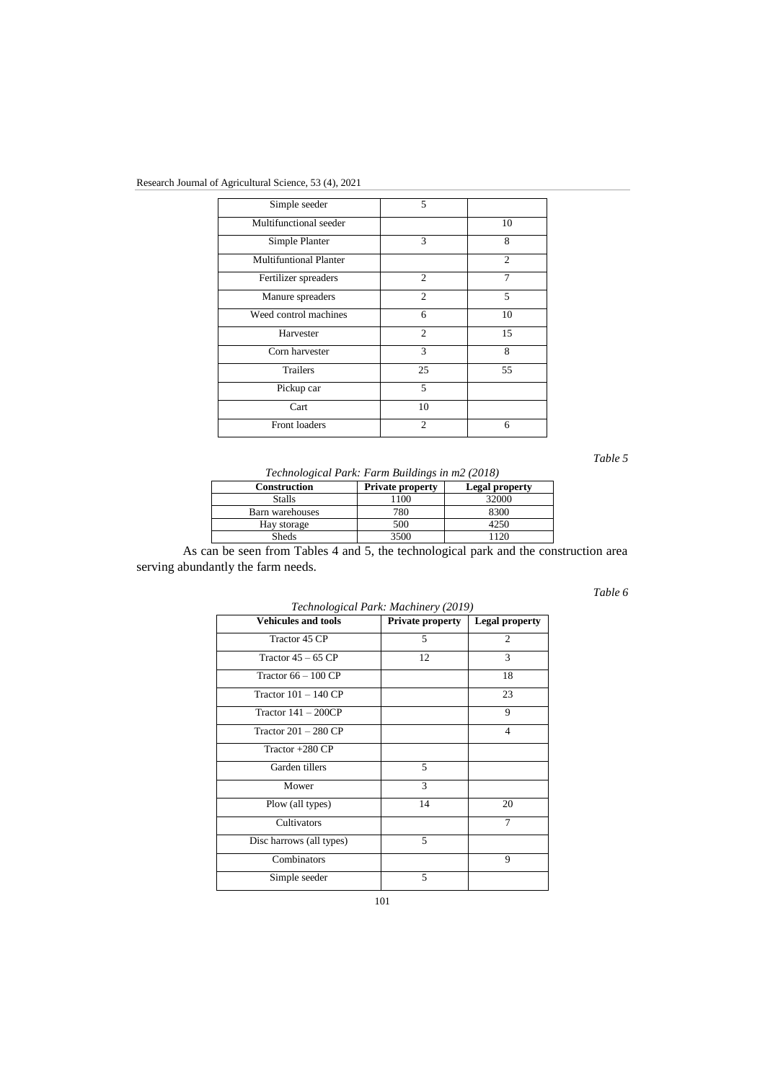## Research Journal of Agricultural Science, 53 (4), 2021

| Simple seeder                 | 5              |                |
|-------------------------------|----------------|----------------|
| Multifunctional seeder        |                | 10             |
| Simple Planter                | 3              | 8              |
| <b>Multifuntional Planter</b> |                | $\mathfrak{D}$ |
| Fertilizer spreaders          | $\overline{2}$ | 7              |
| Manure spreaders              | $\overline{2}$ | 5              |
| Weed control machines         | 6              | 10             |
| Harvester                     | $\overline{c}$ | 15             |
| Corn harvester                | 3              | 8              |
| <b>Trailers</b>               | 25             | 55             |
| Pickup car                    | 5              |                |
| Cart                          | 10             |                |
| Front loaders                 | $\overline{c}$ | 6              |

*Table 5*

*Technological Park: Farm Buildings in m2 (2018)*

| Construction    | <b>Private property</b> | <b>Legal property</b> |
|-----------------|-------------------------|-----------------------|
| <b>Stalls</b>   |                         | 32000                 |
| Barn warehouses | 780                     | 8300                  |
| Hay storage     | 500                     | 1251                  |
| <b>Sheds</b>    | 3500                    |                       |

As can be seen from Tables 4 and 5, the technological park and the construction area serving abundantly the farm needs.

*Table 6*

| $\overline{c}$<br>3<br>12<br>18<br>23<br>9 |
|--------------------------------------------|
|                                            |
|                                            |
|                                            |
|                                            |
|                                            |
| 4                                          |
|                                            |
|                                            |
|                                            |
| 20                                         |
| 7                                          |
|                                            |
| 9                                          |
|                                            |
| 14                                         |

*Technological Park: Machinery (2019)*

101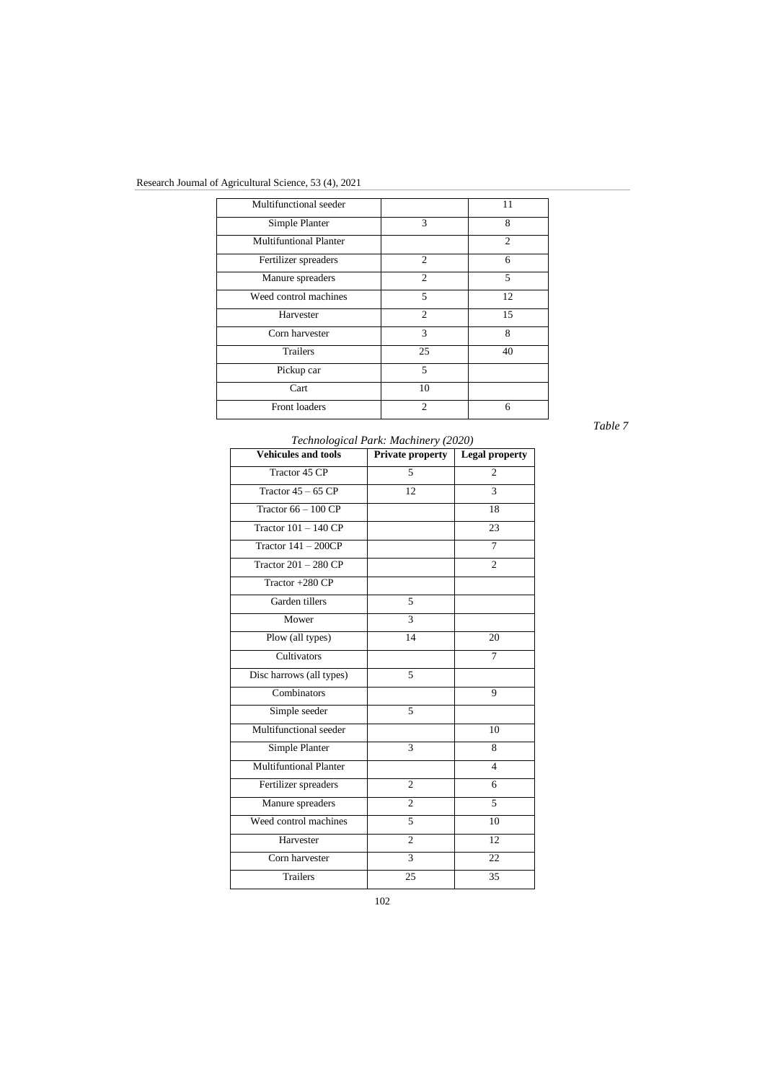# Research Journal of Agricultural Science, 53 (4), 2021

| Multifunctional seeder        |                | 11             |
|-------------------------------|----------------|----------------|
| Simple Planter                | 3              | 8              |
| <b>Multifuntional Planter</b> |                | $\overline{c}$ |
| Fertilizer spreaders          | $\overline{2}$ | 6              |
| Manure spreaders              | $\overline{c}$ | 5              |
| Weed control machines         | 5              | 12             |
| Harvester                     | $\overline{2}$ | 15             |
| Corn harvester                | 3              | 8              |
| <b>Trailers</b>               | 25             | 40             |
| Pickup car                    | 5              |                |
| Cart                          | 10             |                |
| Front loaders                 | $\overline{c}$ | 6              |
|                               |                |                |

*Table 7*

| <b>Vehicules and tools</b>    | Private property | <b>Legal property</b> |
|-------------------------------|------------------|-----------------------|
| Tractor 45 CP                 | 5                | $\overline{c}$        |
| Tractor $45 - 65$ CP          | 12               | $\overline{3}$        |
| Tractor $66 - 100$ CP         |                  | 18                    |
| Tractor $101 - 140$ CP        |                  | 23                    |
| Tractor $141 - 200CP$         |                  | $\tau$                |
| Tractor $201 - 280$ CP        |                  | $\overline{c}$        |
| Tractor +280 CP               |                  |                       |
| Garden tillers                | 5                |                       |
| Mower                         | 3                |                       |
| Plow (all types)              | 14               | 20                    |
| Cultivators                   |                  | 7                     |
| Disc harrows (all types)      | 5                |                       |
| Combinators                   |                  | 9                     |
| Simple seeder                 | 5                |                       |
| Multifunctional seeder        |                  | 10                    |
| Simple Planter                | $\overline{3}$   | 8                     |
| <b>Multifuntional Planter</b> |                  | $\overline{4}$        |
| Fertilizer spreaders          | $\overline{c}$   | 6                     |
| Manure spreaders              | $\overline{c}$   | 5                     |
| Weed control machines         | 5                | 10                    |
| Harvester                     | $\overline{c}$   | 12                    |
| Corn harvester                | 3                | 22                    |
| <b>Trailers</b>               | 25               | 35                    |

### *Technological Park: Machinery (2020)*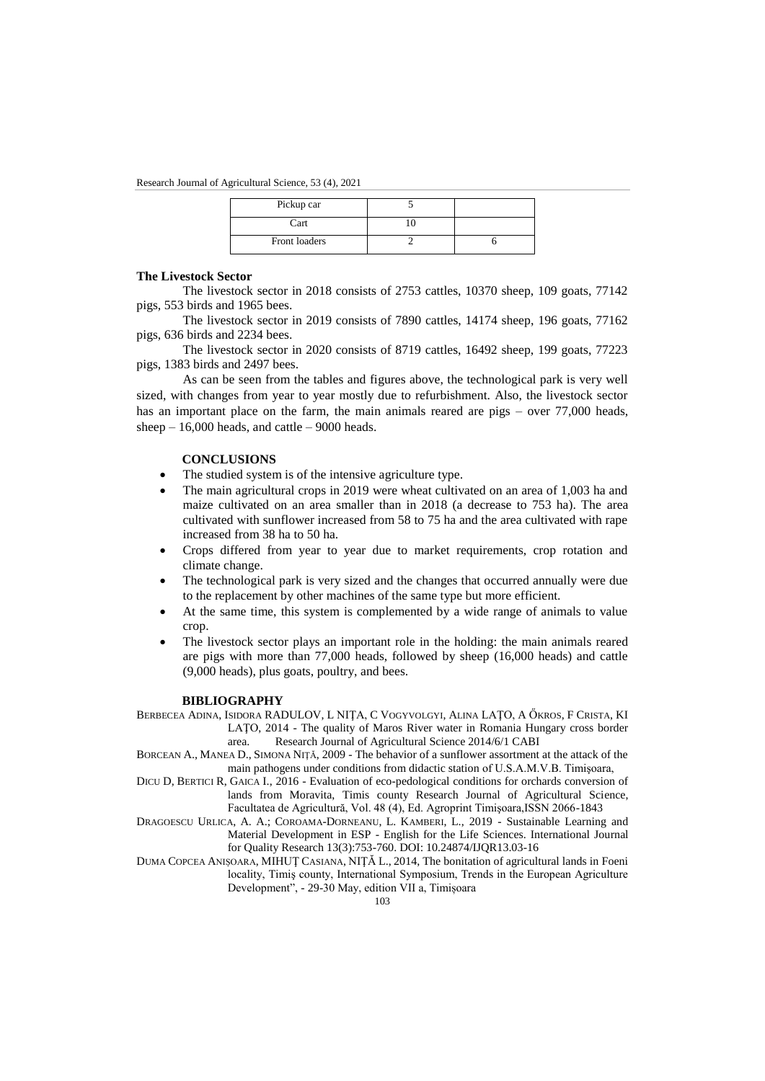Research Journal of Agricultural Science, 53 (4), 2021

| Pickup car    |  |
|---------------|--|
| Cart          |  |
| Front loaders |  |

#### **The Livestock Sector**

The livestock sector in 2018 consists of 2753 cattles, 10370 sheep, 109 goats, 77142 pigs, 553 birds and 1965 bees.

The livestock sector in 2019 consists of 7890 cattles, 14174 sheep, 196 goats, 77162 pigs, 636 birds and 2234 bees.

The livestock sector in 2020 consists of 8719 cattles, 16492 sheep, 199 goats, 77223 pigs, 1383 birds and 2497 bees.

As can be seen from the tables and figures above, the technological park is very well sized, with changes from year to year mostly due to refurbishment. Also, the livestock sector has an important place on the farm, the main animals reared are pigs – over 77,000 heads, sheep  $-16,000$  heads, and cattle  $-9000$  heads.

### **CONCLUSIONS**

- The studied system is of the intensive agriculture type.
- The main agricultural crops in 2019 were wheat cultivated on an area of 1,003 ha and maize cultivated on an area smaller than in 2018 (a decrease to 753 ha). The area cultivated with sunflower increased from 58 to 75 ha and the area cultivated with rape increased from 38 ha to 50 ha.
- Crops differed from year to year due to market requirements, crop rotation and climate change.
- The technological park is very sized and the changes that occurred annually were due to the replacement by other machines of the same type but more efficient.
- At the same time, this system is complemented by a wide range of animals to value crop.
- The livestock sector plays an important role in the holding: the main animals reared are pigs with more than 77,000 heads, followed by sheep (16,000 heads) and cattle (9,000 heads), plus goats, poultry, and bees.

#### **BIBLIOGRAPHY**

BERBECEA ADINA, ISIDORA RADULOV, L NIŢA, C VOGYVOLGYI, ALINA LAŢO, A ŐKROS, F CRISTA, KI LAŢO, 2014 - The quality of Maros River water in Romania Hungary cross border area. Research Journal of Agricultural Science 2014/6/1 CABI

BORCEAN A., MANEA D., SIMONA NIŢĂ, 2009 - The behavior of a sunflower assortment at the attack of the main pathogens under conditions from didactic station of U.S.A.M.V.B. Timişoara,

DICU D, BERTICI R, GAICA I., 2016 - Evaluation of eco-pedological conditions for orchards conversion of lands from Moravita, Timis county Research Journal of Agricultural Science, Facultatea de Agricultură, Vol. 48 (4), Ed. Agroprint Timişoara,ISSN 2066-1843

DRAGOESCU URLICA, A. A.; COROAMA-DORNEANU, L. KAMBERI, L., 2019 - Sustainable Learning and Material Development in ESP - English for the Life Sciences. International Journal for Quality Research 13(3):753-760. DOI: 10.24874/IJQR13.03-16

DUMA COPCEA ANIȘOARA, MIHUŢ CASIANA, NIŢĂ L., 2014, The bonitation of agricultural lands in Foeni locality, Timiş county, International Symposium, Trends in the European Agriculture Development", - 29-30 May, edition VII a, Timișoara